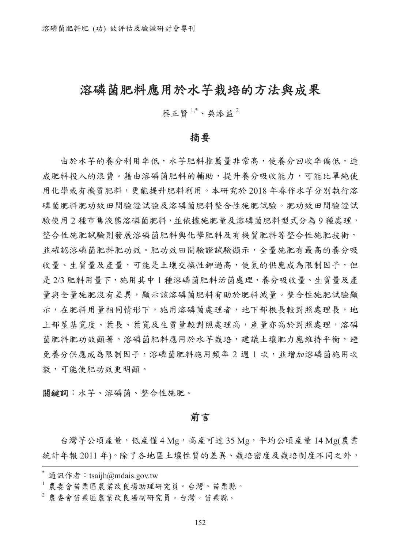## 溶磷菌肥料應用於水芋栽培的方法與成果

蔡正賢<sup>1,\*</sup>、吳添益<sup>2</sup>

#### 摘要

由於水芋的養分利用率低,水芋肥料推薦量非常高,使養分回收率偏低,造 成肥料投入的浪費。藉由溶磷菌肥料的輔助,提升養分吸收能力,可能比單純使 用化學或有機質肥料,更能提升肥料利用。本研究於 2018 年春作水芋分別執行溶 磷菌肥料肥功效田間驗證試驗及溶磷菌肥料整合性施肥試驗。肥功效田間驗證試 驗使用 2 種市售液態溶磷菌肥料,並依據施肥量及溶磷菌肥料型式分為 9 種處理, 整合性施肥試驗則發展溶磷菌肥料與化學肥料及有機質肥料等整合性施肥技術, 並確認溶磷菌肥料肥功效。肥功效田間驗證試驗顯示,全量施肥有最高的養分吸 收量、生質量及產量,可能是土壤交換性鉀過高,使氮的供應成為限制因子,但 是 2/3 肥料用量下,施用其中 1 種溶磷菌肥料活菌處理,養分吸收量、生質量及產 量與全量施肥沒有差異,顯示該溶磷菌肥料有助於肥料減量。整合性施肥試驗顯 示,在肥料用量相同情形下,施用溶磷菌處理者,地下部根長較對照處理長,地 上部莖基寬度、葉長、葉寬及生質量較對照處理高,產量亦高於對照處理,溶磷 菌肥料肥功效顯著。溶磷菌肥料應用於水芋栽培,建議土壤肥力應維持平衡,避 免養分供應成為限制因子,溶磷菌肥料施用頻率 2 週 1 次,並增加溶磷菌施用次 數,可能使肥功效更明顯。

關鍵詞:水芋、溶磷菌、整合性施肥。

前言

台灣芋公頃產量,低產僅 4 Mg,高產可達 35 Mg,平均公頃產量 14 Mg(農業 統計年報 2011年)。除了各地區土壤性質的差異、栽培密度及栽培制度不同之外,

通訊作者: tsaijh@mdais.gov.tw

<sup>1</sup>農委會苗栗區農業改良場助理研究員。台灣。苗栗縣。

<sup>2</sup>農委會苗栗區農業改良場副研究員。台灣。苗栗縣。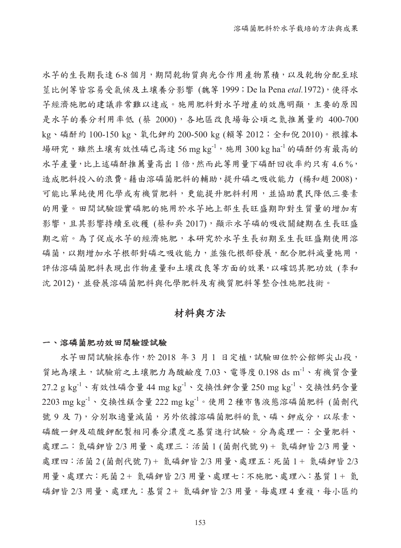水芋的生長期長達 6-8 個月,期間乾物質與光合作用產物累積,以及乾物分配至球 莖比例等皆容易受氣候及土壤養分影響 (魏等 1999; De la Pena etal.1972), 使得水 芋經濟施肥的建議非常難以達成。施用肥料對水芋增產的效應明顯,主要的原因 是水芋的養分利用率低 (蔡 2000),各地區改良場每公頃之氮推薦量約 400-700 kg、磷酐約 100-150 kg、氧化鉀約 200-500 kg (賴等 2012;全和倪 2010)。根據本 場研究,雖然土壤有效性磷已高達 56 mg kg-1,施用 300 kg ha-1 的磷酐仍有最高的 水芋產量,比上述磷酐推薦量高出 1 倍,然而此等用量下磷酐回收率約只有 4.6 %, 造成肥料投入的浪費。藉由溶磷菌肥料的輔助,提升磷之吸收能力 (楊和趙 2008), 可能比單純使用化學或有機質肥料,更能提升肥料利用,並協助農民降低三要素 的用量。田間試驗證實磷肥的施用於水芋地上部生長旺盛期即對生質量的增加有 影響,且其影響持續至收穫 (蔡和吳 2017),顯示水芋磷的吸收關鍵期在生長旺盛 期之前。為了促成水芋的經濟施肥,本研究於水芋生長初期至生長旺盛期使用溶 磷菌,以期增加水芋根部對磷之吸收能力,並強化根部發展,配合肥料減量施用, 評估溶磷菌肥料表現出作物產量和土壤改良等方面的效果,以確認其肥功效 (李和 沈 2012), 並發展溶磷菌肥料與化學肥料及有機質肥料等整合性施肥技術。

## 材料與方法

#### 一、溶磷菌肥功效田間驗證試驗

水芋田間試驗採春作,於 2018年3月1日定植,試驗田位於公館鄉尖山段, 質地為壤土,試驗前之土壤肥力為酸鹼度 7.03、電導度 0.198 ds m<sup>-1</sup>、有機質含量  $27.2$  g kg $^{-1}$ 、有效性磷含量 44 mg kg $^{-1}$ 、交換性鉀含量  $250$  mg kg $^{-1}$ 、交換性鈣含量  $2203$  mg kg<sup>-1</sup>、交換性鎂含量  $222$  mg kg<sup>-1</sup>。使用  $2$  種市售液態溶磷菌肥料 (菌劑代 號 9 及 7),分別取適量滅菌,另外依據溶磷菌肥料的氮、磷、鉀成分,以尿素、 磷酸一鉀及硫酸鉀配製相同養分濃度之基質進行試驗。分為處理一:全量肥料、 處理二:氮磷鉀皆 2/3 用量、處理三:活菌 1 (菌劑代號 9) + 氮磷鉀皆 2/3 用量、 處理四:活菌 2 (菌劑代號 7) + 氮磷鉀皆 2/3 用量、處理五:死菌 1 + 氮磷鉀皆 2/3 用量、處理六:死菌 2 + 氮磷鉀皆 2/3 用量、處理七:不施肥、處理八:基質 1 + 氮 磷鉀皆 2/3 用量、處理九: 基質 2 + 氮磷鉀皆 2/3 用量。每處理 4 重複, 每小區約

153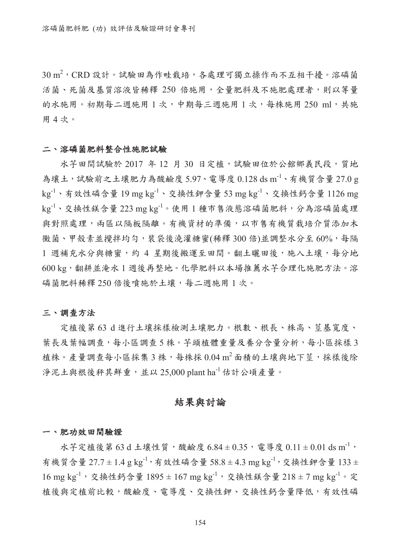$30\,\mathrm{m}^2$ ,  $\mathrm{CRD}$  設計。試驗田為作畦栽培,各處理可獨立操作而不互相干擾。溶磷菌 活菌、死菌及基質溶液皆稀釋 250 倍施用,全量肥料及不施肥處理者,則以等量 的水施用。初期每二週施用1次,中期每三週施用1次,每株施用 250 ml,共施 用 4 次。

#### 二、溶磷菌肥料整合性施肥試驗

水芋田間試驗於 2017 年 12 月 30 日定植,試驗田位於公館鄉義民段,質地 為壤土,試驗前之土壤肥力為酸鹼度 5.97、電導度  $0.128 \mathrm{~ds~m}^{-1}$ 、有機質含量 27.0 g kg-1、有效性磷含量 19 mg kg-1、交換性鉀含量 53 mg kg-1、交換性鈣含量 1126 mg kg<sup>-1</sup>、交換性鎂含量 223 mg kg<sup>-1</sup>。使用1種市售液態溶磷菌肥料,分為溶磷菌處理 與對照處理,兩區以隔板隔離。有機資材的準備,以市售有機質栽培介質添加木 黴菌、甲殼素並攪拌均勻,裝袋後澆灌糖蜜(稀釋 300 倍)並調整水分至 60%,每隔 1 週補充水分與糖蜜,約 4 星期後搬運至田間。翻土曬田後,施入土壤,每分地 600 kg,翻耕並淹水 1 週後再整地。化學肥料以本場推薦水芋合理化施肥方法。溶 磷菌肥料稀釋 250 倍後噴施於土壤,每二週施用1次。

#### 三、調查方法

定植後第 63 d 進行土壤採樣檢測土壤肥力。根數、根長、株高、莖基寬度、 葉長及葉幅調查,每小區調查5株。芋頭植體重量及養分含量分析,每小區採樣3 植株。產量調查每小區採集3株,每株採 0.04m2 面積的土壤與地下莖,採樣後除 淨泥土與根後秤其鮮重,並以 25,000 plant ha-1 估計公頃產量。

#### 結果與討論

#### 一、肥功效田間驗證

水芋定植後第 63 d 土壤性質,酸鹼度  $6.84 \pm 0.35$ , 電導度  $0.11 \pm 0.01$  ds m<sup>-1</sup>, 有機質含量  $27.7 \pm 1.4$  g kg<sup>-1</sup>, 有效性磷含量 58.8 ± 4.3 mg kg<sup>-1</sup>, 交換性鉀含量 133 ±  $16 \text{ mg kg}^{-1}$ , 交換性鈣含量  $1895 \pm 167 \text{ mg kg}^{-1}$ , 交換性鎂含量  $218 \pm 7 \text{ mg kg}^{-1}$ 。定 植後與定植前比較,酸鹼度、電導度、交換性鉀、交換性鈣含量降低,有效性磷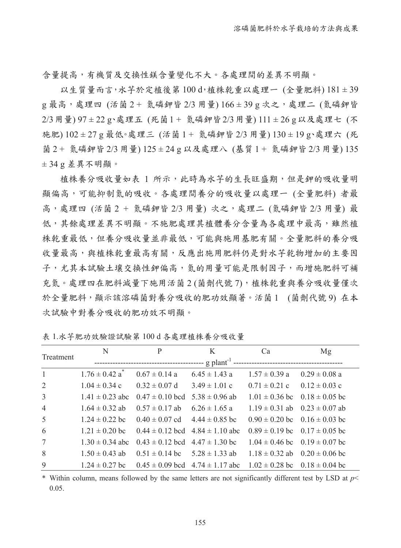含量提高,有機質及交換性鎂含量變化不大。各處理間的差異不明顯。

以生質量而言,水芋於定植後第100d,植株乾重以處理一 (全量肥料) 181±39 g 最高,處理四 (活菌 2 + 氮磷鉀皆 2/3 用量) 166 ± 39 g 次之,處理二 (氮磷鉀皆 2/3用量) 97 ± 22 g、處理五 (死菌1 + 氮磷鉀皆2/3用量) 111 ± 26 g以及處理七 (不 施肥) 102 ± 27 g 最低。處理三 (活菌 1 + 氮磷鉀皆 2/3 用量) 130 ± 19 g、處理六 (死 菌 2 + 氮磷鉀皆 2/3 用量) 125 ± 24 g 以及處理八 (基質 1 + 氮磷鉀皆 2/3 用量) 135 ± 34 g 差異不明顯。

植株養分吸收量如表 1 所示,此時為水芋的生長旺盛期,但是鉀的吸收量明 顯偏高,可能抑制氮的吸收。各處理間養分的吸收量以處理一 (全量肥料) 者最 高,處理四 (活菌 2 + 氮磷鉀皆 2/3 用量) 次之,處理二 (氮磷鉀皆 2/3 用量) 最 低,其餘處理差異不明顯。不施肥處理其植體養分含量為各處理中最高,雖然植 株乾重最低,但養分吸收量並非最低,可能與施用基肥有關。全量肥料的養分吸 收量最高,與植株乾重最高有關,反應出施用肥料仍是對水芋乾物增加的主要因 子,尤其本試驗土壤交換性鉀偏高,氮的用量可能是限制因子,而增施肥料可補 充氮。處理四在肥料減量下施用活菌 2 (菌劑代號 7),植株乾重與養分吸收量僅次 於全量肥料,顯示該溶磷菌對養分吸收的肥功效顯著。活菌 1 (菌劑代號9) 在本 次試驗中對養分吸收的肥功效不明顯。

| Treatment      | N                              | P                                       | K                                                                                                | Ca                                    | Mg                |
|----------------|--------------------------------|-----------------------------------------|--------------------------------------------------------------------------------------------------|---------------------------------------|-------------------|
|                |                                |                                         | -- g plant <sup>-1</sup>                                                                         |                                       |                   |
| $\mathbf{1}$   | $1.76 \pm 0.42$ a <sup>*</sup> | $0.67 \pm 0.14$ a                       | $6.45 \pm 1.43$ a                                                                                | $1.57 \pm 0.39$ a                     | $0.29 \pm 0.08$ a |
| 2              | $1.04 \pm 0.34$ c              | $0.32 \pm 0.07$ d                       | $3.49 \pm 1.01$ c                                                                                | $0.71 \pm 0.21$ c                     | $0.12 \pm 0.03$ c |
| 3              | $1.41 \pm 0.23$ abc            | $0.47 \pm 0.10$ bcd                     | $5.38 \pm 0.96$ ab                                                                               | $1.01 \pm 0.36$ bc $0.18 \pm 0.05$ bc |                   |
| $\overline{4}$ | $1.64 \pm 0.32$ ab             | $0.57 \pm 0.17$ ab                      | $6.26 \pm 1.65$ a                                                                                | $1.19 \pm 0.31$ ab $0.23 \pm 0.07$ ab |                   |
| 5              | $1.24 \pm 0.22$ bc             | $0.40 \pm 0.07$ cd $4.44 \pm 0.85$ bc   |                                                                                                  | $0.90 \pm 0.20$ bc $0.16 \pm 0.03$ bc |                   |
| 6              | $1.21 \pm 0.20$ bc             | $0.44 \pm 0.12$ bcd $4.84 \pm 1.10$ abc |                                                                                                  | $0.89 \pm 0.19$ bc $0.17 \pm 0.05$ bc |                   |
| 7              | $1.30 \pm 0.34$ abc            | $0.43 \pm 0.12$ bcd $4.47 \pm 1.30$ bc  |                                                                                                  | $1.04 \pm 0.46$ bc $0.19 \pm 0.07$ bc |                   |
| 8              | $1.50 \pm 0.43$ ab             | $0.51 \pm 0.14$ bc $5.28 \pm 1.33$ ab   |                                                                                                  | $1.18 \pm 0.32$ ab $0.20 \pm 0.06$ bc |                   |
| 9              |                                |                                         | $1.24 \pm 0.27$ bc $0.45 \pm 0.09$ bcd $4.74 \pm 1.17$ abc $1.02 \pm 0.28$ bc $0.18 \pm 0.04$ bc |                                       |                   |

表 1.水芋肥功效驗證試驗第 100 d 各處理植株養分吸收量

\* Within column, means followed by the same letters are not significantly different test by LSD at *p*< 0.05.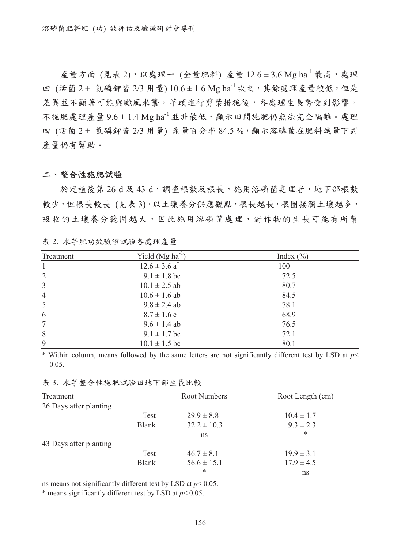$\hat{\mathbb{A}}$ 量方面 (見表2),以處理一 (全量肥料) 產量  $12.6 \pm 3.6$  Mg ha<sup>-1</sup> 最高,處理 四 (活菌 2 + 氮磷鉀皆 2/3 用量)  $10.6 \pm 1.6$  Mg ha<sup>-1</sup> 次之, 其餘處理產量較低, 但是 差異並不顯著可能與風來襲,芋頭進行剪葉措施後,各處理生長勢受到影響。 不施肥處理產量  $9.6 \pm 1.4$  Mg ha $^{-1}$ 並非最低,顯示田間施肥仍無法完全隔離。處理 四 (活菌 2+ 氮磷鉀皆 2/3 用量) 產量百分率 84.5 %, 顯示溶磷菌在肥料減量下對 產量仍有幫助。

#### 二、整合性施肥試驗

於定植後第 26 d 及 43 d,調查根數及根長,施用溶磷菌處理者,地下部根數 較少,但根長較長 (見表3)。以土壤養分供應觀點,根長越長,根圈接觸土壤越多, 吸收的土壤養分範圍越大,因此施用溶磷菌處理,對作物的生長可能有所幫

| Treatment      | Yield $(Mg ha^{-1})$          | Index $(\% )$ |
|----------------|-------------------------------|---------------|
| -1             | $12.6 \pm 3.6$ a <sup>*</sup> | 100           |
| 2              | $9.1 \pm 1.8$ bc              | 72.5          |
| $\overline{3}$ | $10.1 \pm 2.5$ ab             | 80.7          |
| $\overline{4}$ | $10.6 \pm 1.6$ ab             | 84.5          |
| 5              | $9.8 \pm 2.4$ ab              | 78.1          |
| 6              | $8.7 \pm 1.6$ c               | 68.9          |
| 7              | $9.6 \pm 1.4$ ab              | 76.5          |
| 8              | $9.1 \pm 1.7$ bc              | 72.1          |
| 9              | $10.1 \pm 1.5$ bc             | 80.1          |

表 2. 水芋肥功效驗證試驗各處理產量

\* Within column, means followed by the same letters are not significantly different test by LSD at *p*< 0.05.

| 表 3. 水芋整合性施肥試驗田地下部生長比較 |
|------------------------|
|                        |

| Treatment              |              | Root Numbers    | Root Length (cm) |
|------------------------|--------------|-----------------|------------------|
| 26 Days after planting |              |                 |                  |
|                        | Test         | $29.9 \pm 8.8$  | $10.4 \pm 1.7$   |
|                        | <b>Blank</b> | $32.2 \pm 10.3$ | $9.3 \pm 2.3$    |
|                        |              | ns              | *                |
| 43 Days after planting |              |                 |                  |
|                        | Test         | $46.7 \pm 8.1$  | $19.9 \pm 3.1$   |
|                        | <b>Blank</b> | $56.6 \pm 15.1$ | $17.9 \pm 4.5$   |
|                        |              | *               | ns               |

ns means not significantly different test by LSD at *p*< 0.05.

\* means significantly different test by LSD at *p*< 0.05.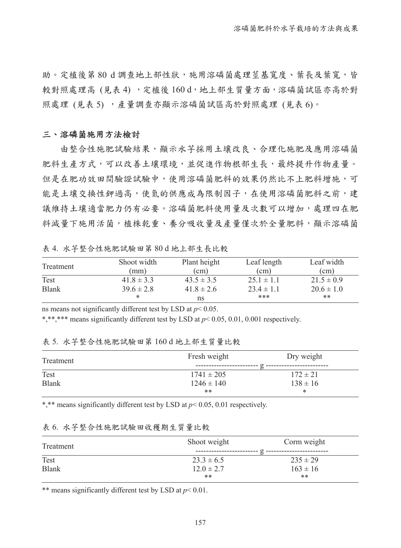助。定植後第80d調查地上部性狀,施用溶磷菌處理莖基寬度、葉長及葉寬,皆 較對照處理高 (見表 4), 定植後 160d, 地上部生質量方面, 溶磷菌試區亦高於對 照處理 (見表 5), 產量調查亦顯示溶磷菌試區高於對照處理 (見表 6)。

#### 三、溶磷菌施用方法檢討

由整合性施肥試驗結果,顯示水芋採用土壤改良、合理化施肥及應用溶磷菌 肥料生產方式,可以改善土壤環境,並促進作物根部生長,最終提升作物產量。 但是在肥功效田間驗證試驗中,使用溶磷菌肥料的效果仍然比不上肥料增施,可 能是土壤交換性鉀過高,使氮的供應成為限制因子,在使用溶磷菌肥料之前,建 議維持土壤適當肥力仍有必要。溶磷菌肥料使用量及次數可以增加,處理四在肥 料減量下施用活菌,植株乾重、養分吸收量及產量僅次於全量肥料,顯示溶磷菌

表 4. 水芋整合性施肥試驗田第 80 d 地上部生長比較

| Treatment    | Shoot width    | Plant height   | Leaf length    | Leaf width     |
|--------------|----------------|----------------|----------------|----------------|
|              | (mm)           | $\text{cm}$ )  | (cm)           | (cm)           |
| Test         | $41.8 \pm 3.3$ | $43.5 \pm 3.5$ | $25.1 \pm 1.1$ | $21.5 \pm 0.9$ |
| <b>Blank</b> | $39.6 \pm 2.8$ | $41.8 \pm 2.6$ | $23.4 \pm 1.1$ | $20.6 \pm 1.0$ |
|              | *              | ns             | ***            | **             |

ns means not significantly different test by LSD at *p*< 0.05.

\*,\*\*,\*\*\* means significantly different test by LSD at *p*< 0.05, 0.01, 0.001 respectively.

表 5. 水芋整合性施肥試驗田第 160 d 地上部生質量比較

| Treatment    | Fresh weight   | Dry weight   |  |  |
|--------------|----------------|--------------|--|--|
|              |                |              |  |  |
| Test         | $1741 \pm 205$ | $172 \pm 21$ |  |  |
| <b>Blank</b> | $1246 \pm 140$ | $138 \pm 16$ |  |  |
|              | **             | *            |  |  |

\*,\*\* means significantly different test by LSD at *p*< 0.05, 0.01 respectively.

#### 表 6. 水芋整合性施肥試驗田收穫期生質量比較

| Treatment    | Shoot weight   | Corm weight  |  |  |
|--------------|----------------|--------------|--|--|
|              |                |              |  |  |
| Test         | $23.3 \pm 6.5$ | $235 \pm 29$ |  |  |
| <b>Blank</b> | $12.0 \pm 2.7$ | $163 \pm 16$ |  |  |
|              | **             | $***$        |  |  |

\*\* means significantly different test by LSD at *p*< 0.01.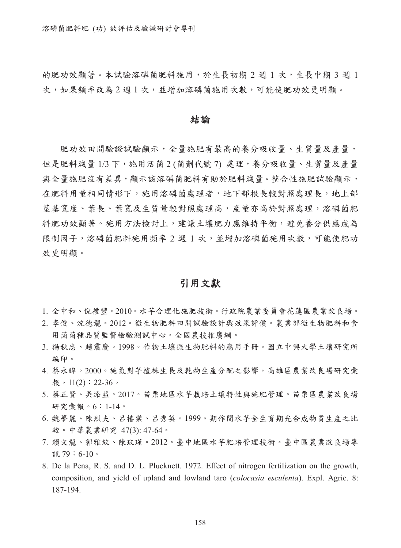的肥功效顯著。本試驗溶磷菌肥料施用,於生長初期 2 週 1 次,生長中期 3 週 1 次,如果頻率改為2週1次,並增加溶磷菌施用次數,可能使肥功效更明顯。

#### 結論

肥功效田間驗證試驗顯示,全量施肥有最高的養分吸收量、生質量及產量, 但是肥料減量1/3 下, 施用活菌 2 (菌劑代號 7) 處理, 養分吸收量、生質量及產量 與全量施肥沒有差異,顯示該溶磷菌肥料有助於肥料減量。整合性施肥試驗顯示, 在肥料用量相同情形下,施用溶磷菌處理者,地下部根長較對照處理長,地上部 莖基寬度、葉長、葉寬及生質量較對照處理高,產量亦高於對照處理,溶磷菌肥 料肥功效顯著。施用方法檢討上,建議土壤肥力應維持平衡,避免養分供應成為 限制因子,溶磷菌肥料施用頻率 2 週 1 次,並增加溶磷菌施用次數,可能使肥功 效更明顯。

### 引用文獻

- 1. 全中和、倪禮豐。2010。水芋合理化施肥技術。行政院農業委員會花蓮區農業改良場。
- 2. 李俊、沈德龍。2012。微生物肥料田間試驗設計與效果評價。農業部微生物肥料和食 用菌菌種品質監督檢驗測試中心。全國農技推廣網。
- 3. 楊秋忠、趙震慶。1998。作物土壤微生物肥料的應用手冊。國立中興大學土壤研究所 編印。
- 4. 蔡永暭。2000。施氮對芋植株生長及乾物生產分配之影響。高雄區農業改良場研究彙 報。11(2): 22-36。
- 5. 蔡正賢、吳添益。2017。苗栗地區水芋栽培土壤特性與施肥管理。苗栗區農業改良場 研究彙報。6:1-14。
- 6. 魏夢麗、陳烈夫、呂椿棠、呂秀英。1999。期作間水芋全生育期光合成物質生產之比 較。中華農業研究 47(3): 47-64。
- 7. 賴文龍、郭雅紋、陳玟瑾。2012。臺中地區水芋肥培管理技術。臺中區農業改良場專 訊 79:6-10。
- 8. De la Pena, R. S. and D. L. Plucknett. 1972. Effect of nitrogen fertilization on the growth, composition, and yield of upland and lowland taro (*colocasia esculenta*). Expl. Agric. 8: 187-194.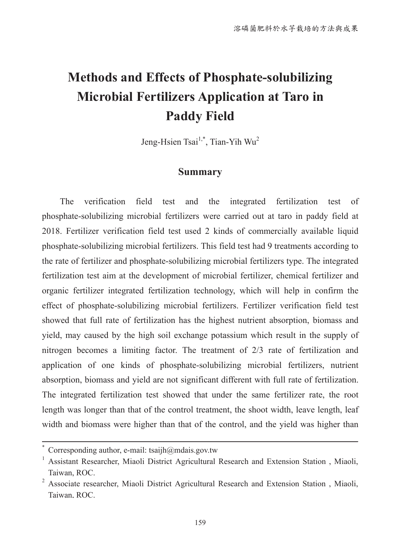# **Methods and Effects of Phosphate-solubilizing Microbial Fertilizers Application at Taro in Paddy Field**

Jeng-Hsien Tsai<sup>1,\*</sup>, Tian-Yih Wu<sup>2</sup>

## **Summary**

The verification field test and the integrated fertilization test of phosphate-solubilizing microbial fertilizers were carried out at taro in paddy field at 2018. Fertilizer verification field test used 2 kinds of commercially available liquid phosphate-solubilizing microbial fertilizers. This field test had 9 treatments according to the rate of fertilizer and phosphate-solubilizing microbial fertilizers type. The integrated fertilization test aim at the development of microbial fertilizer, chemical fertilizer and organic fertilizer integrated fertilization technology, which will help in confirm the effect of phosphate-solubilizing microbial fertilizers. Fertilizer verification field test showed that full rate of fertilization has the highest nutrient absorption, biomass and yield, may caused by the high soil exchange potassium which result in the supply of nitrogen becomes a limiting factor. The treatment of 2/3 rate of fertilization and application of one kinds of phosphate-solubilizing microbial fertilizers, nutrient absorption, biomass and yield are not significant different with full rate of fertilization. The integrated fertilization test showed that under the same fertilizer rate, the root length was longer than that of the control treatment, the shoot width, leave length, leaf width and biomass were higher than that of the control, and the yield was higher than

Corresponding author, e-mail: tsaijh $@$ mdais.gov.tw

<sup>1</sup> Assistant Researcher, Miaoli District Agricultural Research and Extension Station , Miaoli, Taiwan, ROC.

<sup>2</sup> Associate researcher, Miaoli District Agricultural Research and Extension Station , Miaoli, Taiwan, ROC.